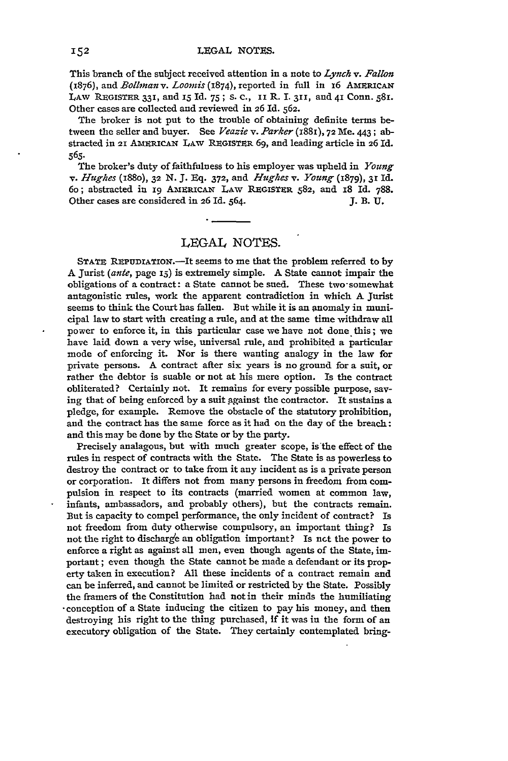This branch of the subject received attention in a note to *Lynch v. Fallon* (1876), and *Bollinan v. Loomis* (1874), reported in full in 16 AmERICAN LAW REGISTER 331, and *1S* Id. 75; s. c., ii R. I. **311,** and 41 Conn. **58Y.** Other cases are collected and reviewed in 26 **Id.** 562.

The broker is not put to the trouble of obtaining definite terms between the seller and buyer. See *Veazie v. Parker* (1881), 72 Me. 443; abstracted in 21 AmERICAN LAW REGISTER **69,** and leading article in 26 Id. **565-**

The broker's duty of faithfulness to his employer was upheld in *Young v. Hughes* (i88o), 32 N. **J. Eq.** 372, and *Hughes v. Young* (1879), 3r Id. 6o; abstracted in 19 AMERICAT LAW REGISTER **582,** and **I8 Id. 788.** Other cases are considered in 26 Id. 564. **J. B. U.** 

## LEGAL NOTES.

STATE REPUDIATION.-It seems to me that the problem referred to by **A** Jurist *(ante,* page **I5)** is extremely simple. **A** State cannot impair the obligations of a contract: a State cannot be sued. These two-somewhat antagonistic rules, work the apparent contradiction in which **A** Jurist seems to think the Court has fallen. But while it is an anomaly in municipal law to start with creating a rule, and at the same time withdraw all power to enforce it, in this particular case we have not done this; we have laid down a very wise, universal rule, and prohibited a particular mode of enforcing it. Nor is there wanting analogy in the law for private persons. A contract after six years is no ground for a suit, or rather the debtor is suable or not at his mere option. Is the contract obliterated? Certainly not. It remains for every possible purpose, saving that of being enforced by a suit against the contractor. It sustains a pledge, for example. Remove the obstacle of the statutory prohibition, and the contract has the same force as it had on the day of the breach: and this may be done by the State or by the party.

Precisely analagous, but with much greater scope, is the effect of the rules in respect of contracts with the State. The State is as powerless to destroy the contract or to take from it any incident as is a private person or corporation. It differs not from many persons in freedom from compulsion in respect to its contracts (married women at common law, infants, ambassadors, and probably others), but the contracts remain. But is capacity to compel performance, the only incident of contract? Is not freedom from duty otherwise compulsory, an important thing? Is not the right to discharge an obligation important? Is not the power to enforce a right as against all men, even though agents of the State, important ; even though the State cannot be made a defendant or its property taken in execution? All these incidents of a contract remain and can be inferred, and cannot be limited or restricted by the State. Possibly the framers of the Constitution had not in their minds the humiliating -conception of a State inducing the citizen to pay his money, and then destroying his right to the thing purchased, If it was in the form of an executory obligation of the State. They certainly contemplated bring-

.